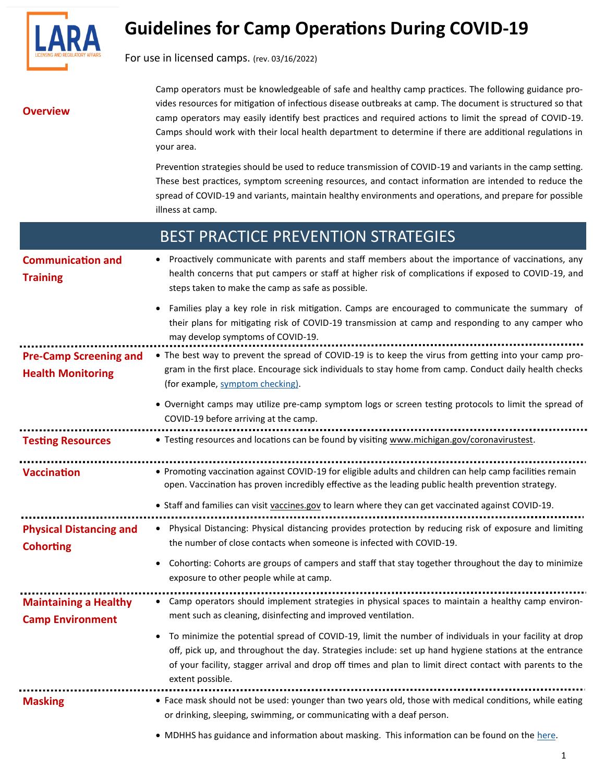

# **Guidelines for Camp Operations During COVID-19**

For use in licensed camps. (rev. 03/16/2022)

**Overview** 

Camp operators must be knowledgeable of safe and healthy camp practices. The following guidance provides resources for mitigation of infectious disease outbreaks at camp. The document is structured so that camp operators may easily identify best practices and required actions to limit the spread of COVID-19. Camps should work with their local health department to determine if there are additional regulations in your area.

Prevention strategies should be used to reduce transmission of COVID-19 and variants in the camp setting. These best practices, symptom screening resources, and contact information are intended to reduce the spread of COVID-19 and variants, maintain healthy environments and operations, and prepare for possible illness at camp.

## BEST PRACTICE PREVENTION STRATEGIES

|                                                           | BEST PRACTICE PREVENTION STRATEGIES                                                                                                                                                                                                                                                                                                            |
|-----------------------------------------------------------|------------------------------------------------------------------------------------------------------------------------------------------------------------------------------------------------------------------------------------------------------------------------------------------------------------------------------------------------|
| <b>Communication and</b><br><b>Training</b>               | Proactively communicate with parents and staff members about the importance of vaccinations, any<br>health concerns that put campers or staff at higher risk of complications if exposed to COVID-19, and<br>steps taken to make the camp as safe as possible.                                                                                 |
|                                                           | Families play a key role in risk mitigation. Camps are encouraged to communicate the summary of<br>their plans for mitigating risk of COVID-19 transmission at camp and responding to any camper who<br>may develop symptoms of COVID-19.                                                                                                      |
| <b>Pre-Camp Screening and</b><br><b>Health Monitoring</b> | • The best way to prevent the spread of COVID-19 is to keep the virus from getting into your camp pro-<br>gram in the first place. Encourage sick individuals to stay home from camp. Conduct daily health checks<br>(for example, symptom checking).                                                                                          |
|                                                           | • Overnight camps may utilize pre-camp symptom logs or screen testing protocols to limit the spread of<br>COVID-19 before arriving at the camp.                                                                                                                                                                                                |
| <b>Testing Resources</b>                                  | • Testing resources and locations can be found by visiting www.michigan.gov/coronavirustest.                                                                                                                                                                                                                                                   |
| <b>Vaccination</b>                                        | • Promoting vaccination against COVID-19 for eligible adults and children can help camp facilities remain<br>open. Vaccination has proven incredibly effective as the leading public health prevention strategy.<br>• Staff and families can visit vaccines.gov to learn where they can get vaccinated against COVID-19.                       |
| <b>Physical Distancing and</b><br><b>Cohorting</b>        | Physical Distancing: Physical distancing provides protection by reducing risk of exposure and limiting<br>$\bullet$<br>the number of close contacts when someone is infected with COVID-19.<br>Cohorting: Cohorts are groups of campers and staff that stay together throughout the day to minimize<br>exposure to other people while at camp. |
| <b>Maintaining a Healthy</b><br><b>Camp Environment</b>   | Camp operators should implement strategies in physical spaces to maintain a healthy camp environ-<br>ment such as cleaning, disinfecting and improved ventilation.                                                                                                                                                                             |
|                                                           | To minimize the potential spread of COVID-19, limit the number of individuals in your facility at drop<br>off nick up and throughout the day Strategies include: set up hand hygiene stations at the entrance                                                                                                                                  |

## off, pick up, and throughout the day. Strategies include: set up hand hygiene stations at the entrance of your facility, stagger arrival and drop off times and plan to limit direct contact with parents to the extent possible. **Masking** • Face mask should not be used: younger than two years old, those with medical conditions, while eating

or drinking, sleeping, swimming, or communicating with a deaf person.

• MDHHS has guidance and information about masking. This information can be found on the [here.](https://www.michigan.gov/coronavirus/)